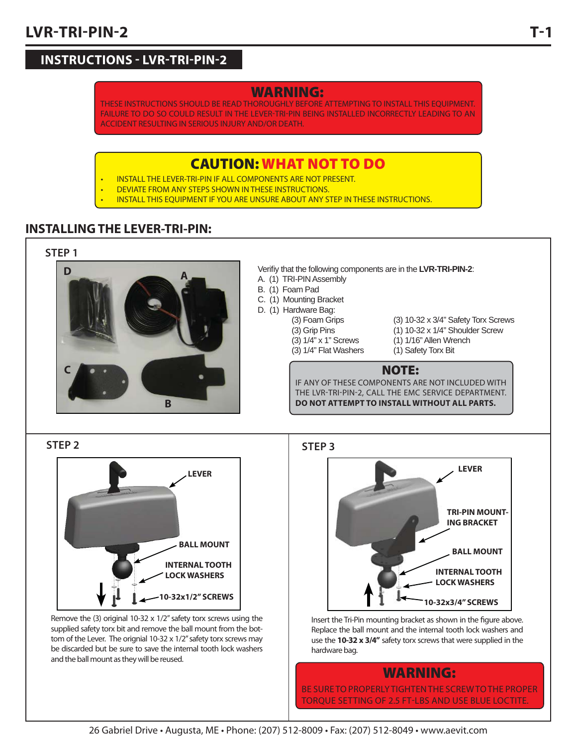# **LVR-TRI-PIN-2 LVR-TRI-PIN-2**

# **INSTRUCTIONS - LVR-TRI-PIN-2**

## **WARNING:**

THESE INSTRUCTIONS SHOULD BE READ THOROUGHLY BEFORE ATTEMPTING TO INSTALL THIS EQUIPMENT. FAILURE TO DO SO COULD RESULT IN THE LEVER-TRI-PIN BEING INSTALLED INCORRECTLY LEADING TO AN ACCIDENT RESULTING IN SERIOUS INJURY AND/OR DEATH.

## **CAUTION: WHAT NOT TO DO**

- INSTALL THE LEVER-TRI-PIN IF ALL COMPONENTS ARE NOT PRESENT.
- DEVIATE FROM ANY STEPS SHOWN IN THESE INSTRUCTIONS.
- INSTALL THIS EQUIPMENT IF YOU ARE UNSURE ABOUT ANY STEP IN THESE INSTRUCTIONS.

#### **INSTALLING THE LEVER-TRI-PIN: INSTALLING THE LEVER-TRI-PIN:**





Verifiy that the following components are in the LVR-TRI-PIN-2:

- A. (1) TRI-PIN Assembly
- B. (1) Foam Pad
- C. (1) Mounting Bracket
- D. (1) Hardware Bag:
	-
	- - (3) 1/4" Flat Washers (1) Safety Torx Bit
- (3) Foam Grips (3) 10-32 x 3/4" Safety Torx Screws (3) Grip Pins (1) 10-32 x 1/4" Shoulder Screw
	- (3) 1/4" x 1" Screws (1) 1/16" Allen Wrench
		-

#### **NOTE:**

IF ANY OF THESE COMPONENTS ARE NOT INCLUDED WITH THE LVR-TRI-PIN-2, CALL THE EMC SERVICE DEPARTMENT. **DO NOT ATTEMPT TO INSTALL WITHOUT ALL PARTS.**

**STEP 2**



Remove the (3) original 10-32 x 1/2" safety torx screws using the supplied safety torx bit and remove the ball mount from the bottom of the Lever. The orignial 10-32 x 1/2" safety torx screws may be discarded but be sure to save the internal tooth lock washers and the ball mount as they will be reused.

**STEP 3**



Insert the Tri-Pin mounting bracket as shown in the figure above. Replace the ball mount and the internal tooth lock washers and use the **10-32 x 3/4"** safety torx screws that were supplied in the hardware bag.

## **WARNING:**

BE SURE TO PROPERLY TIGHTEN THE SCREW TO THE PROPER TORQUE SETTING OF 2.5 FT-LBS AND USE BLUE LOCTITE.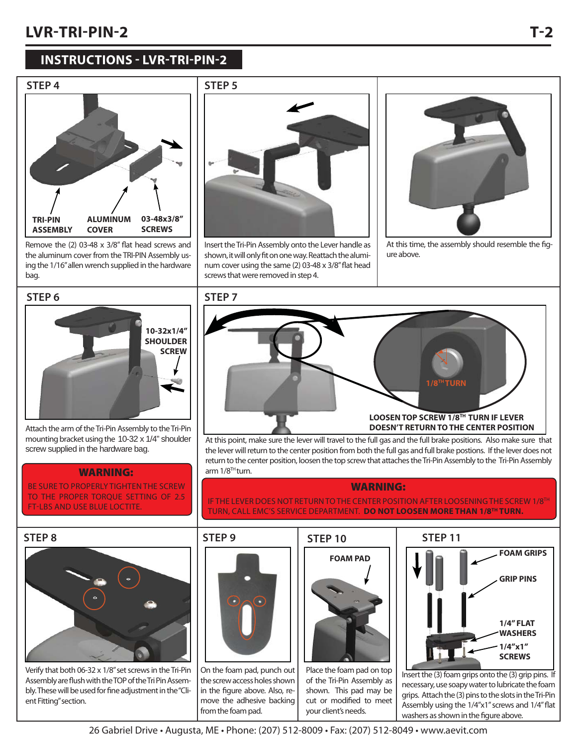# **LVR-TRI-PIN-2 LVR-TRI-PIN-2**

# **INSTRUCTIONS - LVR-TRI-PIN-2**



Remove the  $(2)$  03-48  $\times$  3/8" flat head screws and the aluminum cover from the TRI-PIN Assembly using the 1/16" allen wrench supplied in the hardware bag.



Insert the Tri-Pin Assembly onto the Lever handle as shown, it will only fit on one way. Reattach the aluminum cover using the same (2) 03-48 x 3/8" flat head screws that were removed in step 4.



At this time, the assembly should resemble the figure above.

**1/8TH TURN**

LOOSEN TOP SCREW 1/8<sup>TH</sup> TURN IF LEVER<br>DOESN'T RETURN TO THE CENTER POSITION

#### **STEP 6**



Attach the arm of the Tri-Pin Assembly to the Tri-Pin mounting bracket using the 10-32 x 1/4" shoulder screw supplied in the hardware bag.

#### **WARNING:**

BE SURE TO PROPERLY TIGHTEN THE SCREW TO THE PROPER TORQUE SETTING OF 2.5 FT-LBS AND USE BLUE LOCTITE.



Verify that both 06-32 x 1/8" set screws in the Tri-Pin Assembly are flush with the TOP of the Tri Pin Assembly. These will be used for fine adjustment in the "Client Fitting" section.

 $arm 1/8<sup>TH</sup>$ turn.

**STEP 7**



On the foam pad, punch out the screw access holes shown in the figure above. Also, remove the adhesive backing from the foam pad.

# **STEP 10**



At this point, make sure the lever will travel to the full gas and the full brake positions. Also make sure that the lever will return to the center position from both the full gas and full brake postions. If the lever does not return to the center position, loosen the top screw that attaches the Tri-Pin Assembly to the Tri-Pin Assembly

**WARNING:** IF THE LEVER DOES NOT RETURN TO THE CENTER POSITION AFTER LOOSENING THE SCREW 1/8TH TURN, CALL EMC'S SERVICE DEPARTMENT. **DO NOT LOOSEN MORE THAN 1/8TH TURN.**

> Place the foam pad on top of the Tri-Pin Assembly as shown. This pad may be cut or modified to meet your client's needs.

### **STEP 11**



Insert the (3) foam grips onto the (3) grip pins. If necessary, use soapy water to lubricate the foam grips. Attach the (3) pins to the slots in the Tri-Pin Assembly using the 1/4"x1" screws and 1/4" flat washers as shown in the figure above.

# TÐ **T-2**

26 Gabriel Drive • Augusta, ME • Phone: (207) 512-8009 • Fax: (207) 512-8049 • www.aevit.com